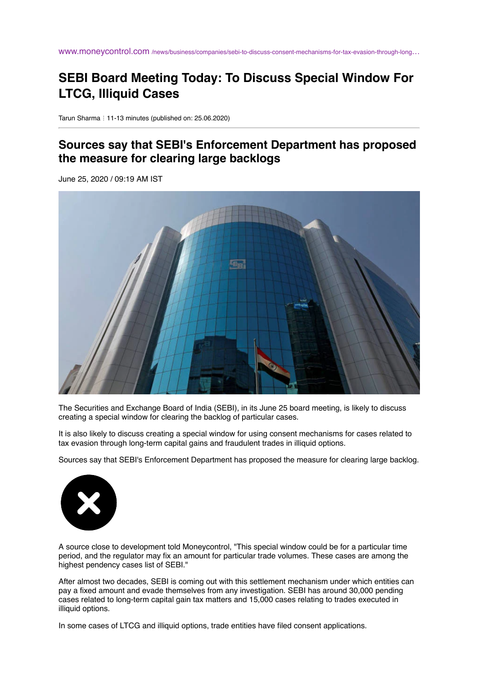www.moneycontrol.com [/news/business/companies/sebi-to-discuss-consent-mechanisms-for-tax-evasion-through-long](https://www.moneycontrol.com/news/business/companies/sebi-to-discuss-consent-mechanisms-for-tax-evasion-through-long-term-capital-gains-fraudulent-trades-in-illiquid-options-5453751.html)…

## **SEBI Board Meeting Today: To Discuss Special Window For LTCG, Illiquid Cases**

Tarun Sharma : 11-13 minutes (published on: 25.06.2020)

## **Sources say that SEBI's Enforcement Department has proposed the measure for clearing large backlogs**

June 25, 2020 / 09:19 AM IST



The Securities and Exchange Board of India (SEBI), in its June 25 board meeting, is likely to discuss creating a special window for clearing the backlog of particular cases.

It is also likely to discuss creating a special window for using consent mechanisms for cases related to tax evasion through long-term capital gains and fraudulent trades in illiquid options.

Sources say that SEBI's Enforcement Department has proposed the measure for clearing large backlog.



A source close to development told Moneycontrol, "This special window could be for a particular time period, and the regulator may fix an amount for particular trade volumes. These cases are among the highest pendency cases list of SEBI."

After almost two decades, SEBI is coming out with this settlement mechanism under which entities can pay a fixed amount and evade themselves from any investigation. SEBI has around 30,000 pending cases related to long-term capital gain tax matters and 15,000 cases relating to trades executed in illiquid options.

In some cases of LTCG and illiquid options, trade entities have filed consent applications.